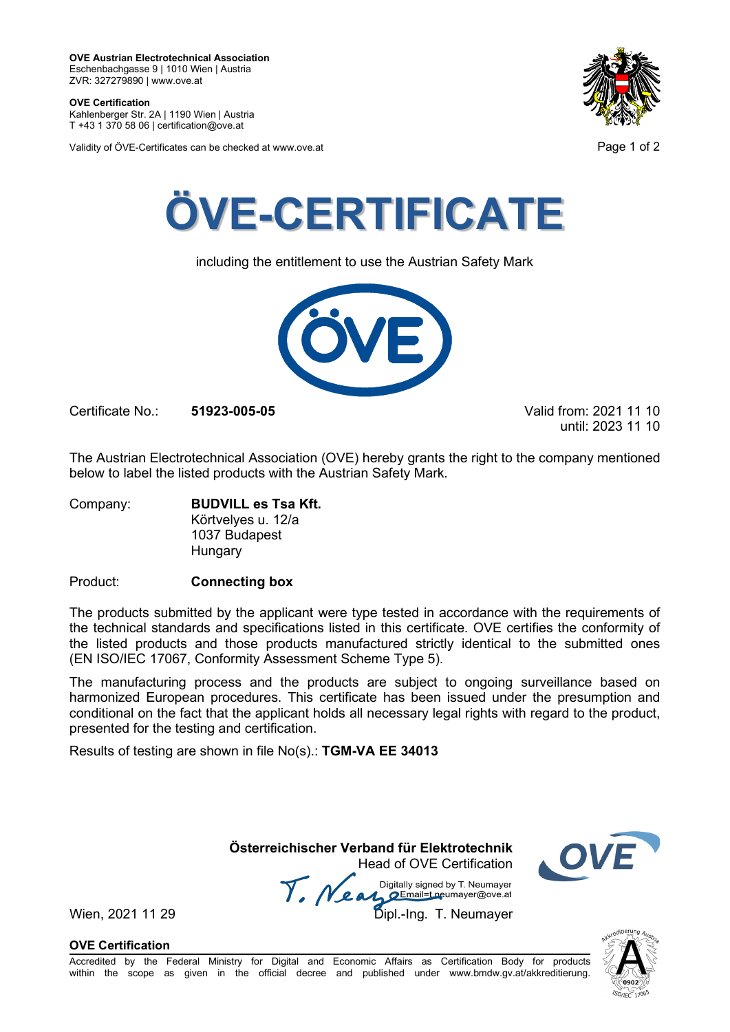**OVE Austrian Electrotechnical Association** Eschenbachgasse 9 | 1010 Wien | Austria ZVR: 327279890 | www.ove.at

**OVE Certification** Kahlenberger Str. 2A | 1190 Wien | Austria

T +43 1 370 58 06 | certification@ove.at

Validity of ÖVE-Certificates can be checked at www.ove.at **Page 1 of 2** Page 1 of 2





including the entitlement to use the Austrian Safety Mark



Certificate No.: **51923-005-05** Valid from: 2021 11 10

until: 2023 11 10

The Austrian Electrotechnical Association (OVE) hereby grants the right to the company mentioned below to label the listed products with the Austrian Safety Mark.

Company: **BUDVILL es Tsa Kft.** Körtvelyes u. 12/a 1037 Budapest Hungary

Product: **Connecting box**

The products submitted by the applicant were type tested in accordance with the requirements of the technical standards and specifications listed in this certificate. OVE certifies the conformity of the listed products and those products manufactured strictly identical to the submitted ones (EN ISO/IEC 17067, Conformity Assessment Scheme Type 5).

The manufacturing process and the products are subject to ongoing surveillance based on harmonized European procedures. This certificate has been issued under the presumption and conditional on the fact that the applicant holds all necessary legal rights with regard to the product, presented for the testing and certification.

Results of testing are shown in file No(s).: **TGM-VA EE 34013**

 **Österreichischer Verband für Elektrotechnik** Head of OVE Certification

Wien, 2021 11 29<br>Wien, 2021 11 29<br>Dipl.-Ing. T. Neumayer



**OVE Certification**

Accredited by the Federal Ministry for Digital and Economic Affairs as Certification Body for products within the scope as given in the official decree and published under www.bmdw.gv.at/akkreditierung.